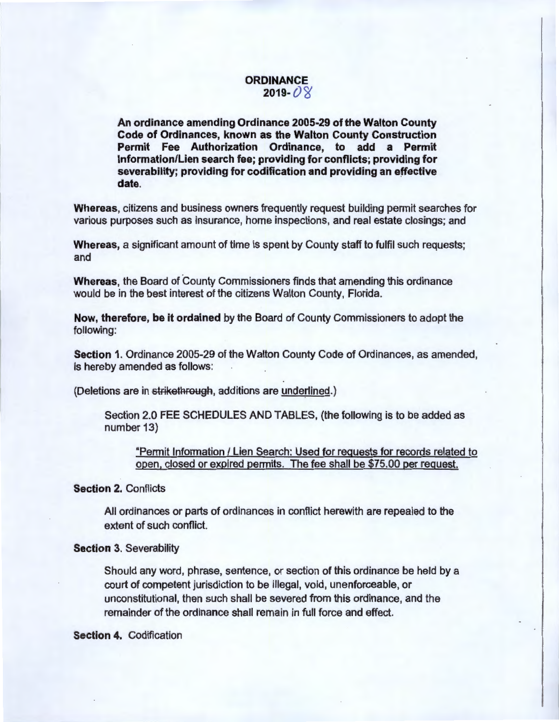## **ORDINANCE**  $2019 - 08$

An ordinance amending Ordinance 2005-29 of the Walton County Code of Ordinances, known as the Walton County Construction Permit Fee Authorization Ordinance, to add a Permit Information/Lien search fee; providing for conflicts; providing for severability; providing for codification and providing an effective date.

Whereas, citizens and business owners frequently request building permit searches for various purposes such as insurance, home inspections, and real estate closings; and

Whereas, a significant amount of time is spent by County staff to fulfil such requests; and

Whereas, the Board of County Commissioners finds that amending this ordinance would be in the best interest of the citizens Walton County, Florida.

Now, therefore, be it ordained by the Board of County Commissioners to adopt the following:

Section 1. Ordinance 2005-29 of the Walton County Code of Ordinances, as amended, is hereby amended as follows:

(Deletions are in strikethrough, additions are underlined.)

Section 2.0 FEE SCHEDULES AND TABLES, (the following is to be added as number 13)

"Permit Information / Lien Search: Used for requests for records related to open, closed or expired permits. The fee shall be \$75.00 per request.

## Section 2. Conflicts

All ordinances or parts of ordinances in conflict herewith are repealed to the extent of such conflict.

## **Section 3. Severability**

Should any word, phrase, sentence, or section of this ordinance be held by a court of competent jurisdiction to be illegal, void, unenforceable, or unconstitutional, then such shall be severed from this ordinance, and the remainder of the ordinance shall remain in full force and effect.

Section 4. Codification